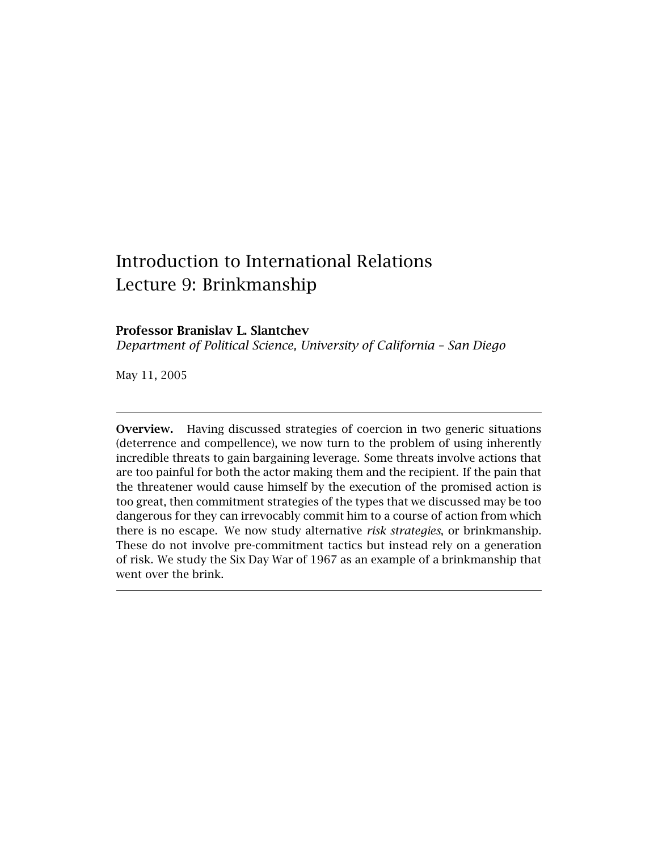# Introduction to International Relations Lecture 9: Brinkmanship

# **Professor Branislav L. Slantchev**

*Department of Political Science, University of California – San Diego*

May 11, 2005

**Overview.** Having discussed strategies of coercion in two generic situations (deterrence and compellence), we now turn to the problem of using inherently incredible threats to gain bargaining leverage. Some threats involve actions that are too painful for both the actor making them and the recipient. If the pain that the threatener would cause himself by the execution of the promised action is too great, then commitment strategies of the types that we discussed may be too dangerous for they can irrevocably commit him to a course of action from which there is no escape. We now study alternative *risk strategies*, or brinkmanship. These do not involve pre-commitment tactics but instead rely on a generation of risk. We study the Six Day War of 1967 as an example of a brinkmanship that went over the brink.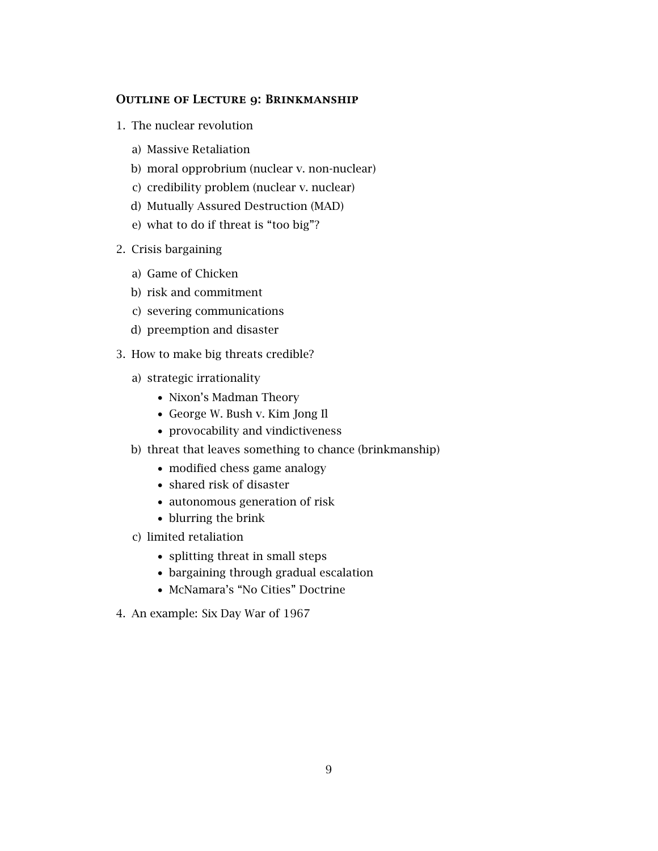## **Outline of Lecture 9: Brinkmanship**

- 1. The nuclear revolution
	- a) Massive Retaliation
	- b) moral opprobrium (nuclear v. non-nuclear)
	- c) credibility problem (nuclear v. nuclear)
	- d) Mutually Assured Destruction (MAD)
	- e) what to do if threat is "too big"?
- 2. Crisis bargaining
	- a) Game of Chicken
	- b) risk and commitment
	- c) severing communications
	- d) preemption and disaster
- 3. How to make big threats credible?
	- a) strategic irrationality
		- *•* Nixon's Madman Theory
		- *•* George W. Bush v. Kim Jong Il
		- *•* provocability and vindictiveness
	- b) threat that leaves something to chance (brinkmanship)
		- *•* modified chess game analogy
		- *•* shared risk of disaster
		- *•* autonomous generation of risk
		- *•* blurring the brink
	- c) limited retaliation
		- *•* splitting threat in small steps
		- *•* bargaining through gradual escalation
		- *•* McNamara's "No Cities" Doctrine
- 4. An example: Six Day War of 1967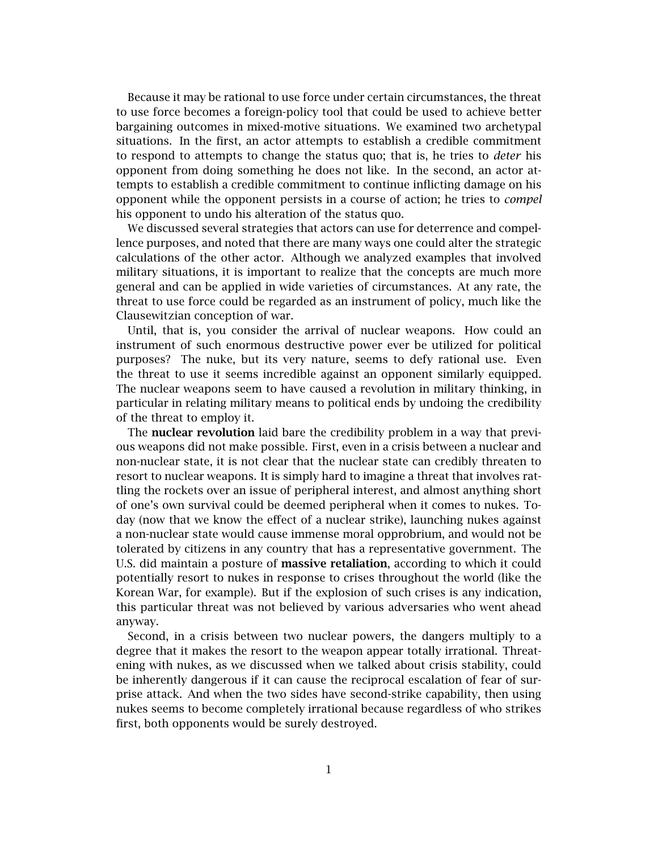Because it may be rational to use force under certain circumstances, the threat to use force becomes a foreign-policy tool that could be used to achieve better bargaining outcomes in mixed-motive situations. We examined two archetypal situations. In the first, an actor attempts to establish a credible commitment to respond to attempts to change the status quo; that is, he tries to *deter* his opponent from doing something he does not like. In the second, an actor attempts to establish a credible commitment to continue inflicting damage on his opponent while the opponent persists in a course of action; he tries to *compel* his opponent to undo his alteration of the status quo.

We discussed several strategies that actors can use for deterrence and compellence purposes, and noted that there are many ways one could alter the strategic calculations of the other actor. Although we analyzed examples that involved military situations, it is important to realize that the concepts are much more general and can be applied in wide varieties of circumstances. At any rate, the threat to use force could be regarded as an instrument of policy, much like the Clausewitzian conception of war.

Until, that is, you consider the arrival of nuclear weapons. How could an instrument of such enormous destructive power ever be utilized for political purposes? The nuke, but its very nature, seems to defy rational use. Even the threat to use it seems incredible against an opponent similarly equipped. The nuclear weapons seem to have caused a revolution in military thinking, in particular in relating military means to political ends by undoing the credibility of the threat to employ it.

The **nuclear revolution** laid bare the credibility problem in a way that previous weapons did not make possible. First, even in a crisis between a nuclear and non-nuclear state, it is not clear that the nuclear state can credibly threaten to resort to nuclear weapons. It is simply hard to imagine a threat that involves rattling the rockets over an issue of peripheral interest, and almost anything short of one's own survival could be deemed peripheral when it comes to nukes. Today (now that we know the effect of a nuclear strike), launching nukes against a non-nuclear state would cause immense moral opprobrium, and would not be tolerated by citizens in any country that has a representative government. The U.S. did maintain a posture of **massive retaliation**, according to which it could potentially resort to nukes in response to crises throughout the world (like the Korean War, for example). But if the explosion of such crises is any indication, this particular threat was not believed by various adversaries who went ahead anyway.

Second, in a crisis between two nuclear powers, the dangers multiply to a degree that it makes the resort to the weapon appear totally irrational. Threatening with nukes, as we discussed when we talked about crisis stability, could be inherently dangerous if it can cause the reciprocal escalation of fear of surprise attack. And when the two sides have second-strike capability, then using nukes seems to become completely irrational because regardless of who strikes first, both opponents would be surely destroyed.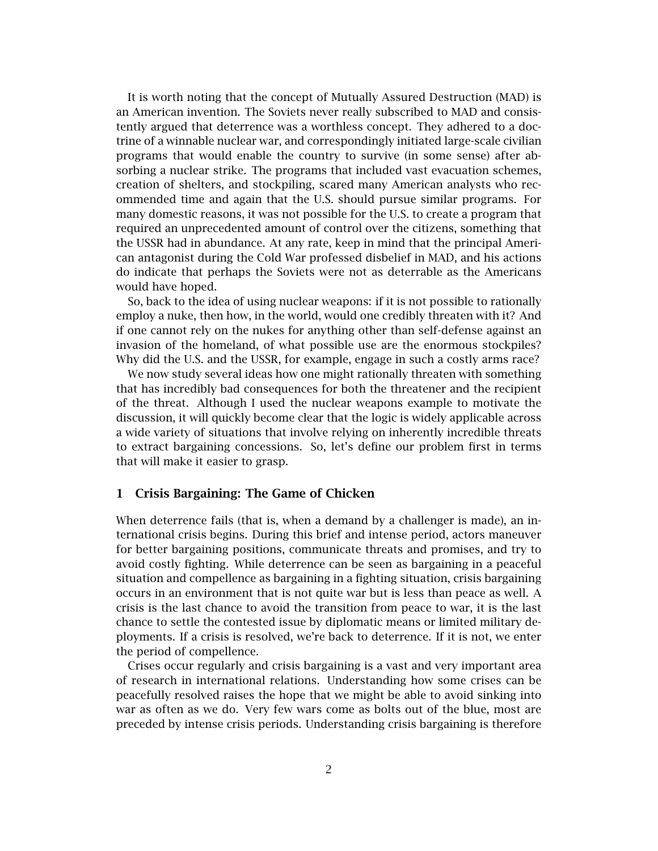It is worth noting that the concept of Mutually Assured Destruction (MAD) is an American invention. The Soviets never really subscribed to MAD and consistently argued that deterrence was a worthless concept. They adhered to a doctrine of a winnable nuclear war, and correspondingly initiated large-scale civilian programs that would enable the country to survive (in some sense) after absorbing a nuclear strike. The programs that included vast evacuation schemes, creation of shelters, and stockpiling, scared many American analysts who recommended time and again that the U.S. should pursue similar programs. For many domestic reasons, it was not possible for the U.S. to create a program that required an unprecedented amount of control over the citizens, something that the USSR had in abundance. At any rate, keep in mind that the principal American antagonist during the Cold War professed disbelief in MAD, and his actions do indicate that perhaps the Soviets were not as deterrable as the Americans would have hoped.

So, back to the idea of using nuclear weapons: if it is not possible to rationally employ a nuke, then how, in the world, would one credibly threaten with it? And if one cannot rely on the nukes for anything other than self-defense against an invasion of the homeland, of what possible use are the enormous stockpiles? Why did the U.S. and the USSR, for example, engage in such a costly arms race?

We now study several ideas how one might rationally threaten with something that has incredibly bad consequences for both the threatener and the recipient of the threat. Although I used the nuclear weapons example to motivate the discussion, it will quickly become clear that the logic is widely applicable across a wide variety of situations that involve relying on inherently incredible threats to extract bargaining concessions. So, let's define our problem first in terms that will make it easier to grasp.

## **1 Crisis Bargaining: The Game of Chicken**

When deterrence fails (that is, when a demand by a challenger is made), an international crisis begins. During this brief and intense period, actors maneuver for better bargaining positions, communicate threats and promises, and try to avoid costly fighting. While deterrence can be seen as bargaining in a peaceful situation and compellence as bargaining in a fighting situation, crisis bargaining occurs in an environment that is not quite war but is less than peace as well. A crisis is the last chance to avoid the transition from peace to war, it is the last chance to settle the contested issue by diplomatic means or limited military deployments. If a crisis is resolved, we're back to deterrence. If it is not, we enter the period of compellence.

Crises occur regularly and crisis bargaining is a vast and very important area of research in international relations. Understanding how some crises can be peacefully resolved raises the hope that we might be able to avoid sinking into war as often as we do. Very few wars come as bolts out of the blue, most are preceded by intense crisis periods. Understanding crisis bargaining is therefore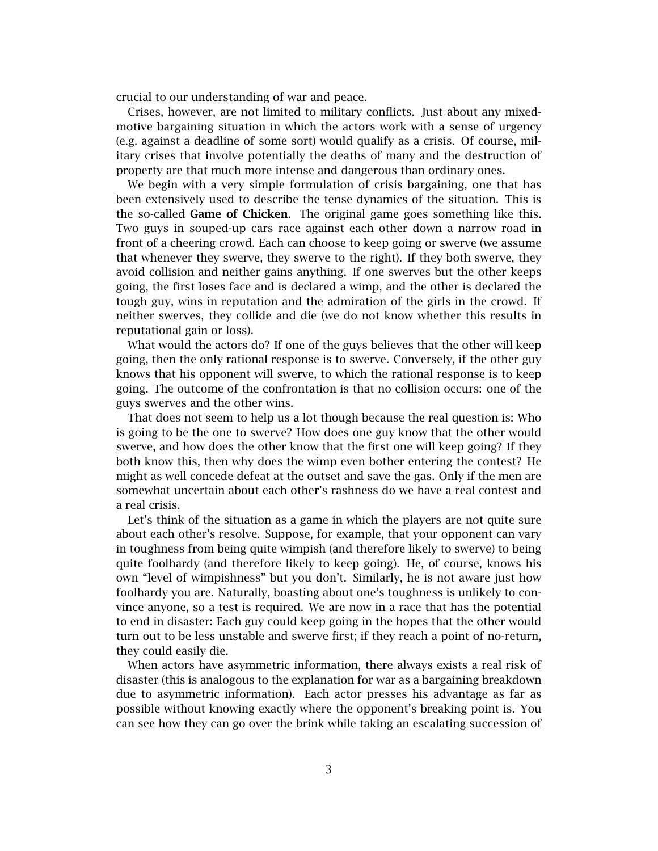crucial to our understanding of war and peace.

Crises, however, are not limited to military conflicts. Just about any mixedmotive bargaining situation in which the actors work with a sense of urgency (e.g. against a deadline of some sort) would qualify as a crisis. Of course, military crises that involve potentially the deaths of many and the destruction of property are that much more intense and dangerous than ordinary ones.

We begin with a very simple formulation of crisis bargaining, one that has been extensively used to describe the tense dynamics of the situation. This is the so-called **Game of Chicken**. The original game goes something like this. Two guys in souped-up cars race against each other down a narrow road in front of a cheering crowd. Each can choose to keep going or swerve (we assume that whenever they swerve, they swerve to the right). If they both swerve, they avoid collision and neither gains anything. If one swerves but the other keeps going, the first loses face and is declared a wimp, and the other is declared the tough guy, wins in reputation and the admiration of the girls in the crowd. If neither swerves, they collide and die (we do not know whether this results in reputational gain or loss).

What would the actors do? If one of the guys believes that the other will keep going, then the only rational response is to swerve. Conversely, if the other guy knows that his opponent will swerve, to which the rational response is to keep going. The outcome of the confrontation is that no collision occurs: one of the guys swerves and the other wins.

That does not seem to help us a lot though because the real question is: Who is going to be the one to swerve? How does one guy know that the other would swerve, and how does the other know that the first one will keep going? If they both know this, then why does the wimp even bother entering the contest? He might as well concede defeat at the outset and save the gas. Only if the men are somewhat uncertain about each other's rashness do we have a real contest and a real crisis.

Let's think of the situation as a game in which the players are not quite sure about each other's resolve. Suppose, for example, that your opponent can vary in toughness from being quite wimpish (and therefore likely to swerve) to being quite foolhardy (and therefore likely to keep going). He, of course, knows his own "level of wimpishness" but you don't. Similarly, he is not aware just how foolhardy you are. Naturally, boasting about one's toughness is unlikely to convince anyone, so a test is required. We are now in a race that has the potential to end in disaster: Each guy could keep going in the hopes that the other would turn out to be less unstable and swerve first; if they reach a point of no-return, they could easily die.

When actors have asymmetric information, there always exists a real risk of disaster (this is analogous to the explanation for war as a bargaining breakdown due to asymmetric information). Each actor presses his advantage as far as possible without knowing exactly where the opponent's breaking point is. You can see how they can go over the brink while taking an escalating succession of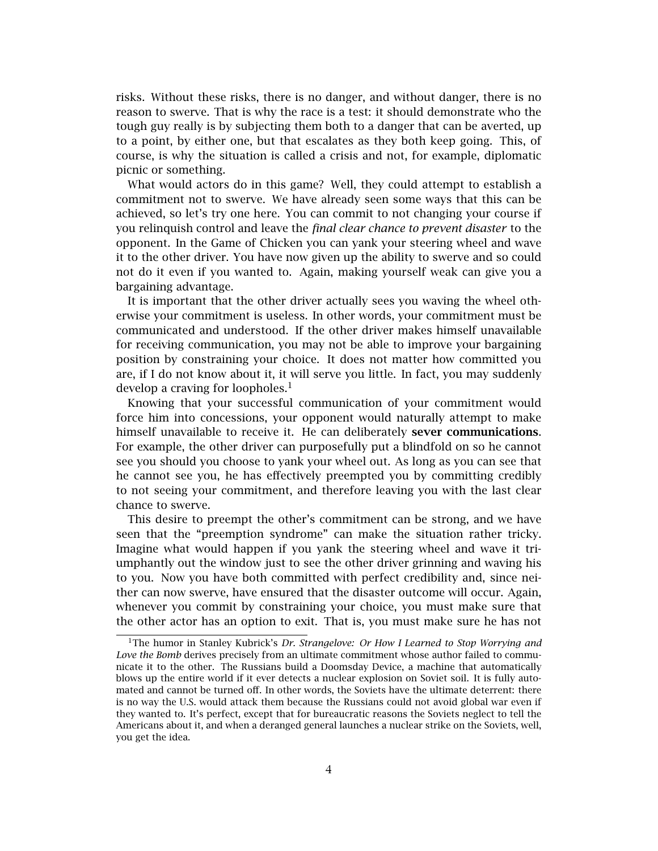risks. Without these risks, there is no danger, and without danger, there is no reason to swerve. That is why the race is a test: it should demonstrate who the tough guy really is by subjecting them both to a danger that can be averted, up to a point, by either one, but that escalates as they both keep going. This, of course, is why the situation is called a crisis and not, for example, diplomatic picnic or something.

What would actors do in this game? Well, they could attempt to establish a commitment not to swerve. We have already seen some ways that this can be achieved, so let's try one here. You can commit to not changing your course if you relinquish control and leave the *final clear chance to prevent disaster* to the opponent. In the Game of Chicken you can yank your steering wheel and wave it to the other driver. You have now given up the ability to swerve and so could not do it even if you wanted to. Again, making yourself weak can give you a bargaining advantage.

It is important that the other driver actually sees you waving the wheel otherwise your commitment is useless. In other words, your commitment must be communicated and understood. If the other driver makes himself unavailable for receiving communication, you may not be able to improve your bargaining position by constraining your choice. It does not matter how committed you are, if I do not know about it, it will serve you little. In fact, you may suddenly develop a craving for loopholes.<sup>1</sup>

Knowing that your successful communication of your commitment would force him into concessions, your opponent would naturally attempt to make himself unavailable to receive it. He can deliberately **sever communications**. For example, the other driver can purposefully put a blindfold on so he cannot see you should you choose to yank your wheel out. As long as you can see that he cannot see you, he has effectively preempted you by committing credibly to not seeing your commitment, and therefore leaving you with the last clear chance to swerve.

This desire to preempt the other's commitment can be strong, and we have seen that the "preemption syndrome" can make the situation rather tricky. Imagine what would happen if you yank the steering wheel and wave it triumphantly out the window just to see the other driver grinning and waving his to you. Now you have both committed with perfect credibility and, since neither can now swerve, have ensured that the disaster outcome will occur. Again, whenever you commit by constraining your choice, you must make sure that the other actor has an option to exit. That is, you must make sure he has not

<sup>&</sup>lt;sup>1</sup>The humor in Stanley Kubrick's *Dr. Strangelove: Or How I Learned to Stop Worrying and Love the Bomb* derives precisely from an ultimate commitment whose author failed to communicate it to the other. The Russians build a Doomsday Device, a machine that automatically blows up the entire world if it ever detects a nuclear explosion on Soviet soil. It is fully automated and cannot be turned off. In other words, the Soviets have the ultimate deterrent: there is no way the U.S. would attack them because the Russians could not avoid global war even if they wanted to. It's perfect, except that for bureaucratic reasons the Soviets neglect to tell the Americans about it, and when a deranged general launches a nuclear strike on the Soviets, well, you get the idea.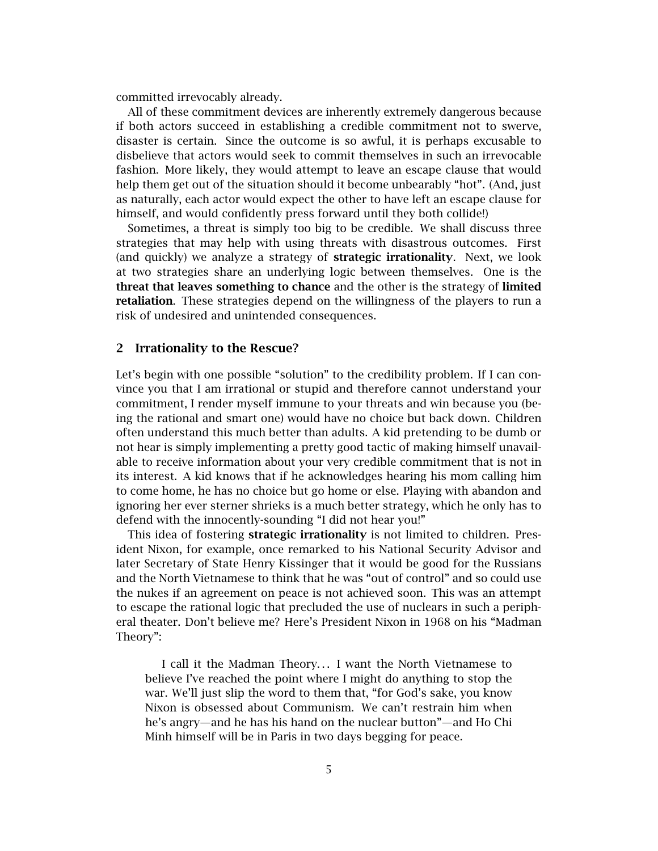committed irrevocably already.

All of these commitment devices are inherently extremely dangerous because if both actors succeed in establishing a credible commitment not to swerve, disaster is certain. Since the outcome is so awful, it is perhaps excusable to disbelieve that actors would seek to commit themselves in such an irrevocable fashion. More likely, they would attempt to leave an escape clause that would help them get out of the situation should it become unbearably "hot". (And, just as naturally, each actor would expect the other to have left an escape clause for himself, and would confidently press forward until they both collide!)

Sometimes, a threat is simply too big to be credible. We shall discuss three strategies that may help with using threats with disastrous outcomes. First (and quickly) we analyze a strategy of **strategic irrationality**. Next, we look at two strategies share an underlying logic between themselves. One is the **threat that leaves something to chance** and the other is the strategy of **limited retaliation**. These strategies depend on the willingness of the players to run a risk of undesired and unintended consequences.

## **2 Irrationality to the Rescue?**

Let's begin with one possible "solution" to the credibility problem. If I can convince you that I am irrational or stupid and therefore cannot understand your commitment, I render myself immune to your threats and win because you (being the rational and smart one) would have no choice but back down. Children often understand this much better than adults. A kid pretending to be dumb or not hear is simply implementing a pretty good tactic of making himself unavailable to receive information about your very credible commitment that is not in its interest. A kid knows that if he acknowledges hearing his mom calling him to come home, he has no choice but go home or else. Playing with abandon and ignoring her ever sterner shrieks is a much better strategy, which he only has to defend with the innocently-sounding "I did not hear you!"

This idea of fostering **strategic irrationality** is not limited to children. President Nixon, for example, once remarked to his National Security Advisor and later Secretary of State Henry Kissinger that it would be good for the Russians and the North Vietnamese to think that he was "out of control" and so could use the nukes if an agreement on peace is not achieved soon. This was an attempt to escape the rational logic that precluded the use of nuclears in such a peripheral theater. Don't believe me? Here's President Nixon in 1968 on his "Madman Theory":

I call it the Madman Theory... I want the North Vietnamese to believe I've reached the point where I might do anything to stop the war. We'll just slip the word to them that, "for God's sake, you know Nixon is obsessed about Communism. We can't restrain him when he's angry—and he has his hand on the nuclear button"—and Ho Chi Minh himself will be in Paris in two days begging for peace.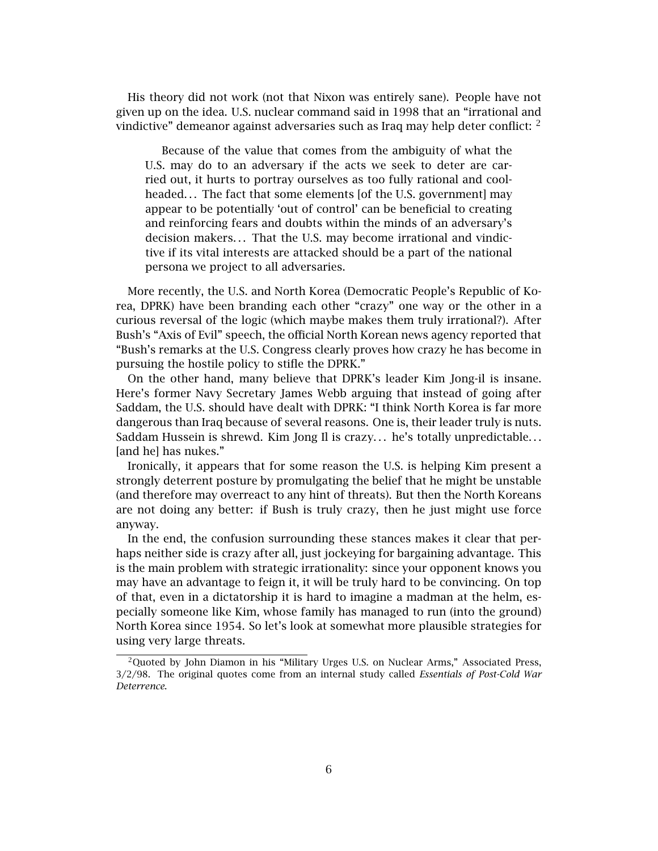His theory did not work (not that Nixon was entirely sane). People have not given up on the idea. U.S. nuclear command said in 1998 that an "irrational and vindictive" demeanor against adversaries such as Iraq may help deter conflict:  $2$ 

Because of the value that comes from the ambiguity of what the U.S. may do to an adversary if the acts we seek to deter are carried out, it hurts to portray ourselves as too fully rational and coolheaded... The fact that some elements [of the U.S. government] may appear to be potentially 'out of control' can be beneficial to creating and reinforcing fears and doubts within the minds of an adversary's decision makers... That the U.S. may become irrational and vindictive if its vital interests are attacked should be a part of the national persona we project to all adversaries.

More recently, the U.S. and North Korea (Democratic People's Republic of Korea, DPRK) have been branding each other "crazy" one way or the other in a curious reversal of the logic (which maybe makes them truly irrational?). After Bush's "Axis of Evil" speech, the official North Korean news agency reported that "Bush's remarks at the U.S. Congress clearly proves how crazy he has become in pursuing the hostile policy to stifle the DPRK."

On the other hand, many believe that DPRK's leader Kim Jong-il is insane. Here's former Navy Secretary James Webb arguing that instead of going after Saddam, the U.S. should have dealt with DPRK: "I think North Korea is far more dangerous than Iraq because of several reasons. One is, their leader truly is nuts. Saddam Hussein is shrewd. Kim Jong Il is crazy... he's totally unpredictable... [and he] has nukes."

Ironically, it appears that for some reason the U.S. is helping Kim present a strongly deterrent posture by promulgating the belief that he might be unstable (and therefore may overreact to any hint of threats). But then the North Koreans are not doing any better: if Bush is truly crazy, then he just might use force anyway.

In the end, the confusion surrounding these stances makes it clear that perhaps neither side is crazy after all, just jockeying for bargaining advantage. This is the main problem with strategic irrationality: since your opponent knows you may have an advantage to feign it, it will be truly hard to be convincing. On top of that, even in a dictatorship it is hard to imagine a madman at the helm, especially someone like Kim, whose family has managed to run (into the ground) North Korea since 1954. So let's look at somewhat more plausible strategies for using very large threats.

<sup>&</sup>lt;sup>2</sup>Quoted by John Diamon in his "Military Urges U.S. on Nuclear Arms," Associated Press, 3/2/98. The original quotes come from an internal study called *Essentials of Post-Cold War Deterrence*.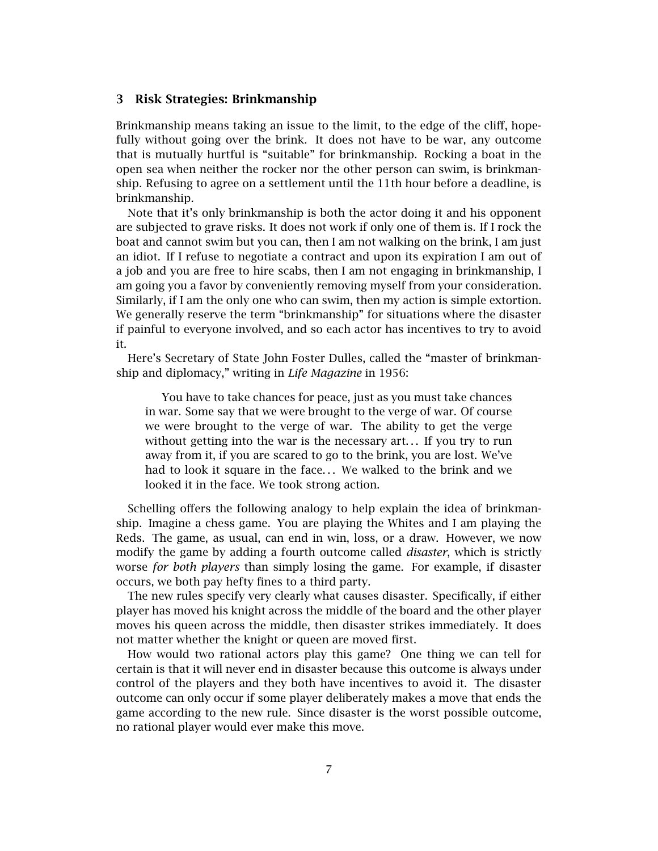#### **3 Risk Strategies: Brinkmanship**

Brinkmanship means taking an issue to the limit, to the edge of the cliff, hopefully without going over the brink. It does not have to be war, any outcome that is mutually hurtful is "suitable" for brinkmanship. Rocking a boat in the open sea when neither the rocker nor the other person can swim, is brinkmanship. Refusing to agree on a settlement until the 11th hour before a deadline, is brinkmanship.

Note that it's only brinkmanship is both the actor doing it and his opponent are subjected to grave risks. It does not work if only one of them is. If I rock the boat and cannot swim but you can, then I am not walking on the brink, I am just an idiot. If I refuse to negotiate a contract and upon its expiration I am out of a job and you are free to hire scabs, then I am not engaging in brinkmanship, I am going you a favor by conveniently removing myself from your consideration. Similarly, if I am the only one who can swim, then my action is simple extortion. We generally reserve the term "brinkmanship" for situations where the disaster if painful to everyone involved, and so each actor has incentives to try to avoid it.

Here's Secretary of State John Foster Dulles, called the "master of brinkmanship and diplomacy," writing in *Life Magazine* in 1956:

You have to take chances for peace, just as you must take chances in war. Some say that we were brought to the verge of war. Of course we were brought to the verge of war. The ability to get the verge without getting into the war is the necessary art... If you try to run away from it, if you are scared to go to the brink, you are lost. We've had to look it square in the face... We walked to the brink and we looked it in the face. We took strong action.

Schelling offers the following analogy to help explain the idea of brinkmanship. Imagine a chess game. You are playing the Whites and I am playing the Reds. The game, as usual, can end in win, loss, or a draw. However, we now modify the game by adding a fourth outcome called *disaster*, which is strictly worse *for both players* than simply losing the game. For example, if disaster occurs, we both pay hefty fines to a third party.

The new rules specify very clearly what causes disaster. Specifically, if either player has moved his knight across the middle of the board and the other player moves his queen across the middle, then disaster strikes immediately. It does not matter whether the knight or queen are moved first.

How would two rational actors play this game? One thing we can tell for certain is that it will never end in disaster because this outcome is always under control of the players and they both have incentives to avoid it. The disaster outcome can only occur if some player deliberately makes a move that ends the game according to the new rule. Since disaster is the worst possible outcome, no rational player would ever make this move.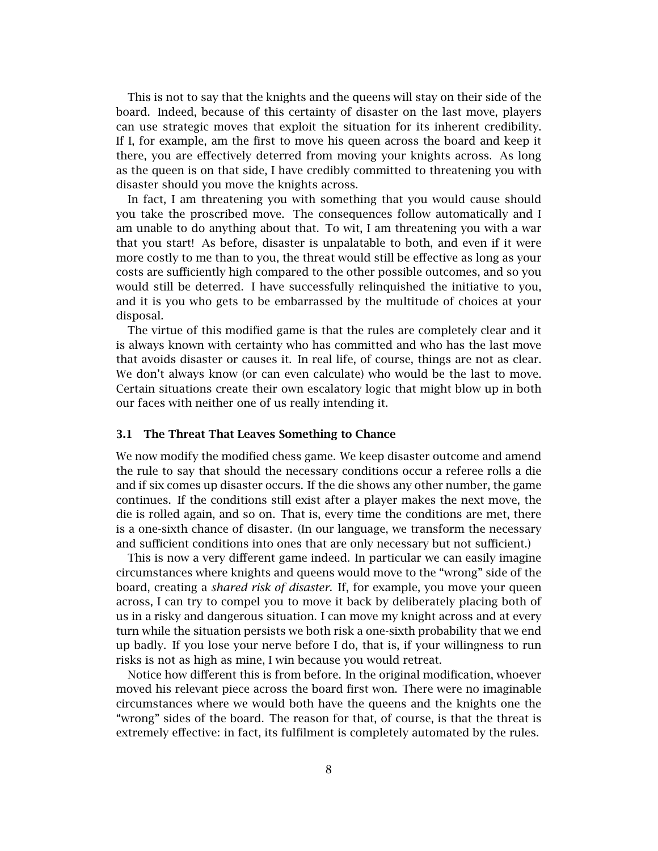This is not to say that the knights and the queens will stay on their side of the board. Indeed, because of this certainty of disaster on the last move, players can use strategic moves that exploit the situation for its inherent credibility. If I, for example, am the first to move his queen across the board and keep it there, you are effectively deterred from moving your knights across. As long as the queen is on that side, I have credibly committed to threatening you with disaster should you move the knights across.

In fact, I am threatening you with something that you would cause should you take the proscribed move. The consequences follow automatically and I am unable to do anything about that. To wit, I am threatening you with a war that you start! As before, disaster is unpalatable to both, and even if it were more costly to me than to you, the threat would still be effective as long as your costs are sufficiently high compared to the other possible outcomes, and so you would still be deterred. I have successfully relinquished the initiative to you, and it is you who gets to be embarrassed by the multitude of choices at your disposal.

The virtue of this modified game is that the rules are completely clear and it is always known with certainty who has committed and who has the last move that avoids disaster or causes it. In real life, of course, things are not as clear. We don't always know (or can even calculate) who would be the last to move. Certain situations create their own escalatory logic that might blow up in both our faces with neither one of us really intending it.

#### **3.1 The Threat That Leaves Something to Chance**

We now modify the modified chess game. We keep disaster outcome and amend the rule to say that should the necessary conditions occur a referee rolls a die and if six comes up disaster occurs. If the die shows any other number, the game continues. If the conditions still exist after a player makes the next move, the die is rolled again, and so on. That is, every time the conditions are met, there is a one-sixth chance of disaster. (In our language, we transform the necessary and sufficient conditions into ones that are only necessary but not sufficient.)

This is now a very different game indeed. In particular we can easily imagine circumstances where knights and queens would move to the "wrong" side of the board, creating a *shared risk of disaster*. If, for example, you move your queen across, I can try to compel you to move it back by deliberately placing both of us in a risky and dangerous situation. I can move my knight across and at every turn while the situation persists we both risk a one-sixth probability that we end up badly. If you lose your nerve before I do, that is, if your willingness to run risks is not as high as mine, I win because you would retreat.

Notice how different this is from before. In the original modification, whoever moved his relevant piece across the board first won. There were no imaginable circumstances where we would both have the queens and the knights one the "wrong" sides of the board. The reason for that, of course, is that the threat is extremely effective: in fact, its fulfilment is completely automated by the rules.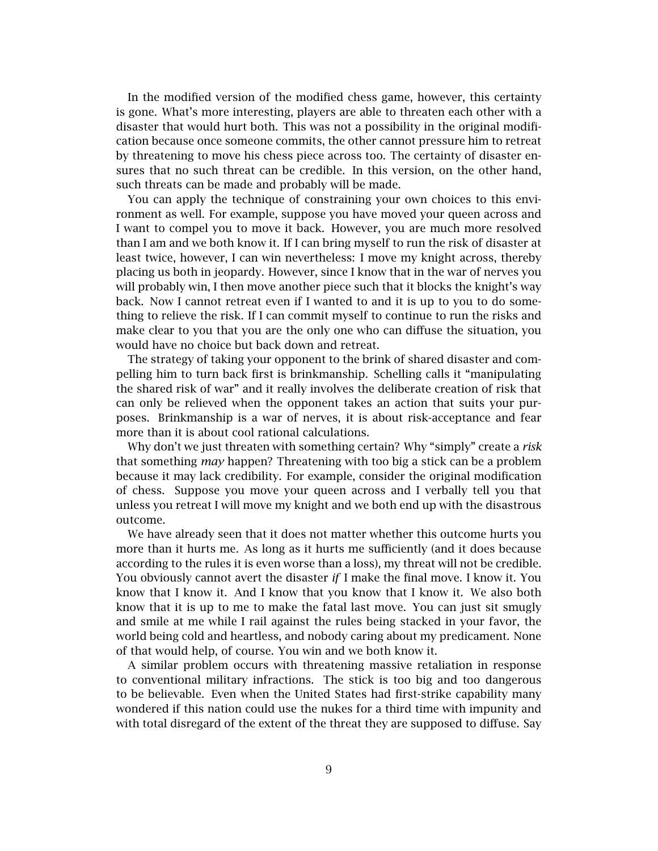In the modified version of the modified chess game, however, this certainty is gone. What's more interesting, players are able to threaten each other with a disaster that would hurt both. This was not a possibility in the original modification because once someone commits, the other cannot pressure him to retreat by threatening to move his chess piece across too. The certainty of disaster ensures that no such threat can be credible. In this version, on the other hand, such threats can be made and probably will be made.

You can apply the technique of constraining your own choices to this environment as well. For example, suppose you have moved your queen across and I want to compel you to move it back. However, you are much more resolved than I am and we both know it. If I can bring myself to run the risk of disaster at least twice, however, I can win nevertheless: I move my knight across, thereby placing us both in jeopardy. However, since I know that in the war of nerves you will probably win, I then move another piece such that it blocks the knight's way back. Now I cannot retreat even if I wanted to and it is up to you to do something to relieve the risk. If I can commit myself to continue to run the risks and make clear to you that you are the only one who can diffuse the situation, you would have no choice but back down and retreat.

The strategy of taking your opponent to the brink of shared disaster and compelling him to turn back first is brinkmanship. Schelling calls it "manipulating the shared risk of war" and it really involves the deliberate creation of risk that can only be relieved when the opponent takes an action that suits your purposes. Brinkmanship is a war of nerves, it is about risk-acceptance and fear more than it is about cool rational calculations.

Why don't we just threaten with something certain? Why "simply" create a *risk* that something *may* happen? Threatening with too big a stick can be a problem because it may lack credibility. For example, consider the original modification of chess. Suppose you move your queen across and I verbally tell you that unless you retreat I will move my knight and we both end up with the disastrous outcome.

We have already seen that it does not matter whether this outcome hurts you more than it hurts me. As long as it hurts me sufficiently (and it does because according to the rules it is even worse than a loss), my threat will not be credible. You obviously cannot avert the disaster *if* I make the final move. I know it. You know that I know it. And I know that you know that I know it. We also both know that it is up to me to make the fatal last move. You can just sit smugly and smile at me while I rail against the rules being stacked in your favor, the world being cold and heartless, and nobody caring about my predicament. None of that would help, of course. You win and we both know it.

A similar problem occurs with threatening massive retaliation in response to conventional military infractions. The stick is too big and too dangerous to be believable. Even when the United States had first-strike capability many wondered if this nation could use the nukes for a third time with impunity and with total disregard of the extent of the threat they are supposed to diffuse. Say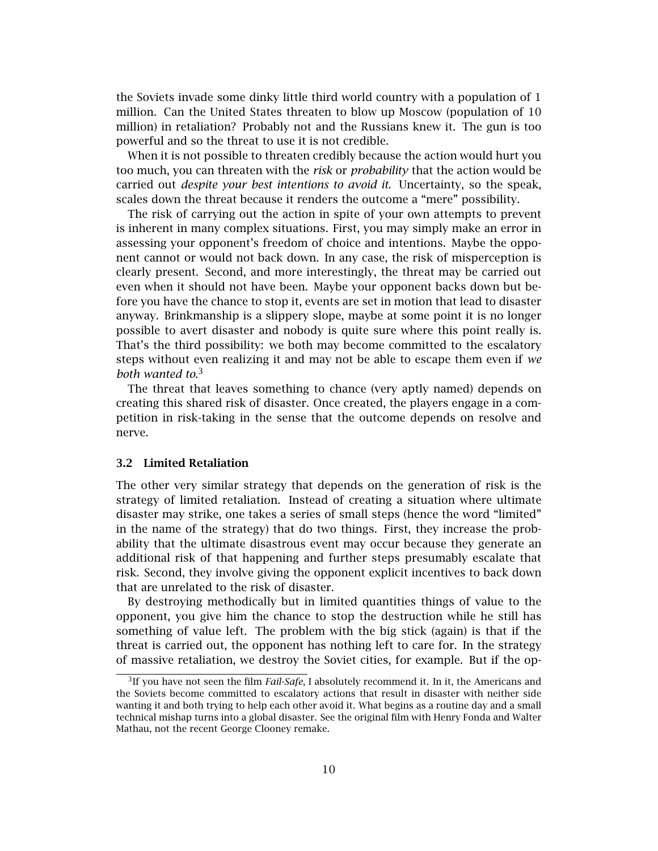the Soviets invade some dinky little third world country with a population of 1 million. Can the United States threaten to blow up Moscow (population of 10 million) in retaliation? Probably not and the Russians knew it. The gun is too powerful and so the threat to use it is not credible.

When it is not possible to threaten credibly because the action would hurt you too much, you can threaten with the *risk* or *probability* that the action would be carried out *despite your best intentions to avoid it*. Uncertainty, so the speak, scales down the threat because it renders the outcome a "mere" possibility.

The risk of carrying out the action in spite of your own attempts to prevent is inherent in many complex situations. First, you may simply make an error in assessing your opponent's freedom of choice and intentions. Maybe the opponent cannot or would not back down. In any case, the risk of misperception is clearly present. Second, and more interestingly, the threat may be carried out even when it should not have been. Maybe your opponent backs down but before you have the chance to stop it, events are set in motion that lead to disaster anyway. Brinkmanship is a slippery slope, maybe at some point it is no longer possible to avert disaster and nobody is quite sure where this point really is. That's the third possibility: we both may become committed to the escalatory steps without even realizing it and may not be able to escape them even if *we both wanted to*. 3

The threat that leaves something to chance (very aptly named) depends on creating this shared risk of disaster. Once created, the players engage in a competition in risk-taking in the sense that the outcome depends on resolve and nerve.

#### **3.2 Limited Retaliation**

The other very similar strategy that depends on the generation of risk is the strategy of limited retaliation. Instead of creating a situation where ultimate disaster may strike, one takes a series of small steps (hence the word "limited" in the name of the strategy) that do two things. First, they increase the probability that the ultimate disastrous event may occur because they generate an additional risk of that happening and further steps presumably escalate that risk. Second, they involve giving the opponent explicit incentives to back down that are unrelated to the risk of disaster.

By destroying methodically but in limited quantities things of value to the opponent, you give him the chance to stop the destruction while he still has something of value left. The problem with the big stick (again) is that if the threat is carried out, the opponent has nothing left to care for. In the strategy of massive retaliation, we destroy the Soviet cities, for example. But if the op-

<sup>3</sup>If you have not seen the film *Fail-Safe*, I absolutely recommend it. In it, the Americans and the Soviets become committed to escalatory actions that result in disaster with neither side wanting it and both trying to help each other avoid it. What begins as a routine day and a small technical mishap turns into a global disaster. See the original film with Henry Fonda and Walter Mathau, not the recent George Clooney remake.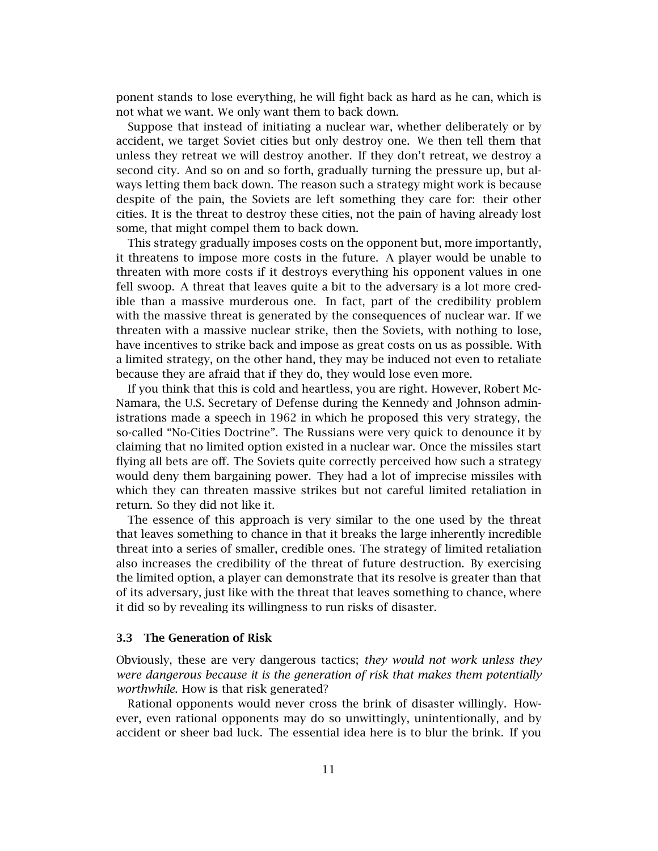ponent stands to lose everything, he will fight back as hard as he can, which is not what we want. We only want them to back down.

Suppose that instead of initiating a nuclear war, whether deliberately or by accident, we target Soviet cities but only destroy one. We then tell them that unless they retreat we will destroy another. If they don't retreat, we destroy a second city. And so on and so forth, gradually turning the pressure up, but always letting them back down. The reason such a strategy might work is because despite of the pain, the Soviets are left something they care for: their other cities. It is the threat to destroy these cities, not the pain of having already lost some, that might compel them to back down.

This strategy gradually imposes costs on the opponent but, more importantly, it threatens to impose more costs in the future. A player would be unable to threaten with more costs if it destroys everything his opponent values in one fell swoop. A threat that leaves quite a bit to the adversary is a lot more credible than a massive murderous one. In fact, part of the credibility problem with the massive threat is generated by the consequences of nuclear war. If we threaten with a massive nuclear strike, then the Soviets, with nothing to lose, have incentives to strike back and impose as great costs on us as possible. With a limited strategy, on the other hand, they may be induced not even to retaliate because they are afraid that if they do, they would lose even more.

If you think that this is cold and heartless, you are right. However, Robert Mc-Namara, the U.S. Secretary of Defense during the Kennedy and Johnson administrations made a speech in 1962 in which he proposed this very strategy, the so-called "No-Cities Doctrine". The Russians were very quick to denounce it by claiming that no limited option existed in a nuclear war. Once the missiles start flying all bets are off. The Soviets quite correctly perceived how such a strategy would deny them bargaining power. They had a lot of imprecise missiles with which they can threaten massive strikes but not careful limited retaliation in return. So they did not like it.

The essence of this approach is very similar to the one used by the threat that leaves something to chance in that it breaks the large inherently incredible threat into a series of smaller, credible ones. The strategy of limited retaliation also increases the credibility of the threat of future destruction. By exercising the limited option, a player can demonstrate that its resolve is greater than that of its adversary, just like with the threat that leaves something to chance, where it did so by revealing its willingness to run risks of disaster.

#### **3.3 The Generation of Risk**

Obviously, these are very dangerous tactics; *they would not work unless they were dangerous because it is the generation of risk that makes them potentially worthwhile*. How is that risk generated?

Rational opponents would never cross the brink of disaster willingly. However, even rational opponents may do so unwittingly, unintentionally, and by accident or sheer bad luck. The essential idea here is to blur the brink. If you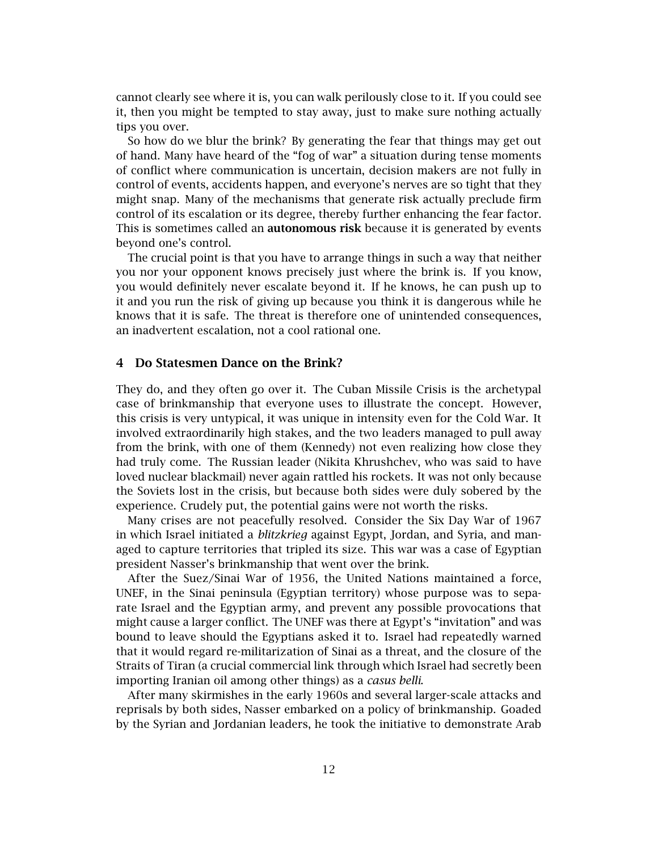cannot clearly see where it is, you can walk perilously close to it. If you could see it, then you might be tempted to stay away, just to make sure nothing actually tips you over.

So how do we blur the brink? By generating the fear that things may get out of hand. Many have heard of the "fog of war" a situation during tense moments of conflict where communication is uncertain, decision makers are not fully in control of events, accidents happen, and everyone's nerves are so tight that they might snap. Many of the mechanisms that generate risk actually preclude firm control of its escalation or its degree, thereby further enhancing the fear factor. This is sometimes called an **autonomous risk** because it is generated by events beyond one's control.

The crucial point is that you have to arrange things in such a way that neither you nor your opponent knows precisely just where the brink is. If you know, you would definitely never escalate beyond it. If he knows, he can push up to it and you run the risk of giving up because you think it is dangerous while he knows that it is safe. The threat is therefore one of unintended consequences, an inadvertent escalation, not a cool rational one.

#### **4 Do Statesmen Dance on the Brink?**

They do, and they often go over it. The Cuban Missile Crisis is the archetypal case of brinkmanship that everyone uses to illustrate the concept. However, this crisis is very untypical, it was unique in intensity even for the Cold War. It involved extraordinarily high stakes, and the two leaders managed to pull away from the brink, with one of them (Kennedy) not even realizing how close they had truly come. The Russian leader (Nikita Khrushchev, who was said to have loved nuclear blackmail) never again rattled his rockets. It was not only because the Soviets lost in the crisis, but because both sides were duly sobered by the experience. Crudely put, the potential gains were not worth the risks.

Many crises are not peacefully resolved. Consider the Six Day War of 1967 in which Israel initiated a *blitzkrieg* against Egypt, Jordan, and Syria, and managed to capture territories that tripled its size. This war was a case of Egyptian president Nasser's brinkmanship that went over the brink.

After the Suez/Sinai War of 1956, the United Nations maintained a force, UNEF, in the Sinai peninsula (Egyptian territory) whose purpose was to separate Israel and the Egyptian army, and prevent any possible provocations that might cause a larger conflict. The UNEF was there at Egypt's "invitation" and was bound to leave should the Egyptians asked it to. Israel had repeatedly warned that it would regard re-militarization of Sinai as a threat, and the closure of the Straits of Tiran (a crucial commercial link through which Israel had secretly been importing Iranian oil among other things) as a *casus belli*.

After many skirmishes in the early 1960s and several larger-scale attacks and reprisals by both sides, Nasser embarked on a policy of brinkmanship. Goaded by the Syrian and Jordanian leaders, he took the initiative to demonstrate Arab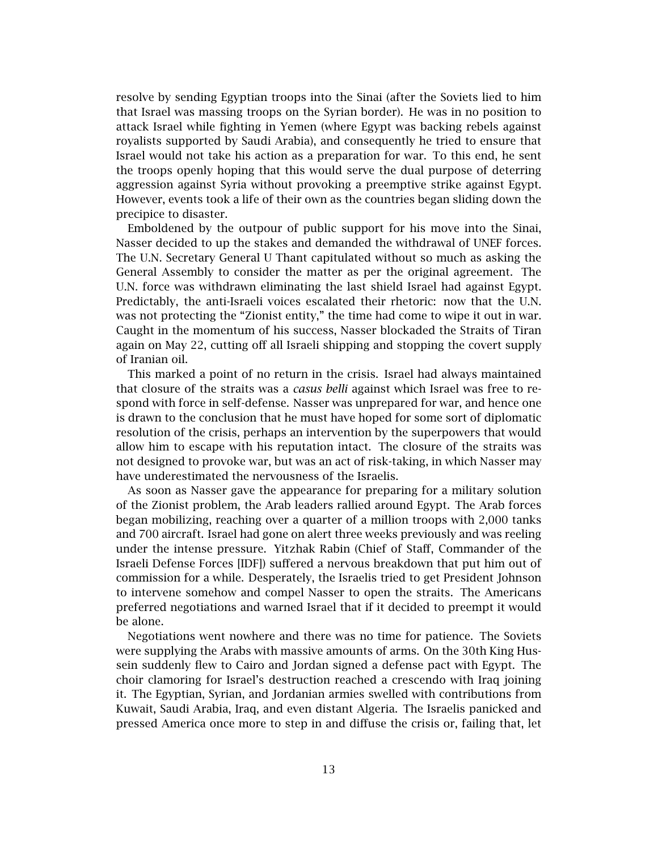resolve by sending Egyptian troops into the Sinai (after the Soviets lied to him that Israel was massing troops on the Syrian border). He was in no position to attack Israel while fighting in Yemen (where Egypt was backing rebels against royalists supported by Saudi Arabia), and consequently he tried to ensure that Israel would not take his action as a preparation for war. To this end, he sent the troops openly hoping that this would serve the dual purpose of deterring aggression against Syria without provoking a preemptive strike against Egypt. However, events took a life of their own as the countries began sliding down the precipice to disaster.

Emboldened by the outpour of public support for his move into the Sinai, Nasser decided to up the stakes and demanded the withdrawal of UNEF forces. The U.N. Secretary General U Thant capitulated without so much as asking the General Assembly to consider the matter as per the original agreement. The U.N. force was withdrawn eliminating the last shield Israel had against Egypt. Predictably, the anti-Israeli voices escalated their rhetoric: now that the U.N. was not protecting the "Zionist entity," the time had come to wipe it out in war. Caught in the momentum of his success, Nasser blockaded the Straits of Tiran again on May 22, cutting off all Israeli shipping and stopping the covert supply of Iranian oil.

This marked a point of no return in the crisis. Israel had always maintained that closure of the straits was a *casus belli* against which Israel was free to respond with force in self-defense. Nasser was unprepared for war, and hence one is drawn to the conclusion that he must have hoped for some sort of diplomatic resolution of the crisis, perhaps an intervention by the superpowers that would allow him to escape with his reputation intact. The closure of the straits was not designed to provoke war, but was an act of risk-taking, in which Nasser may have underestimated the nervousness of the Israelis.

As soon as Nasser gave the appearance for preparing for a military solution of the Zionist problem, the Arab leaders rallied around Egypt. The Arab forces began mobilizing, reaching over a quarter of a million troops with 2,000 tanks and 700 aircraft. Israel had gone on alert three weeks previously and was reeling under the intense pressure. Yitzhak Rabin (Chief of Staff, Commander of the Israeli Defense Forces [IDF]) suffered a nervous breakdown that put him out of commission for a while. Desperately, the Israelis tried to get President Johnson to intervene somehow and compel Nasser to open the straits. The Americans preferred negotiations and warned Israel that if it decided to preempt it would be alone.

Negotiations went nowhere and there was no time for patience. The Soviets were supplying the Arabs with massive amounts of arms. On the 30th King Hussein suddenly flew to Cairo and Jordan signed a defense pact with Egypt. The choir clamoring for Israel's destruction reached a crescendo with Iraq joining it. The Egyptian, Syrian, and Jordanian armies swelled with contributions from Kuwait, Saudi Arabia, Iraq, and even distant Algeria. The Israelis panicked and pressed America once more to step in and diffuse the crisis or, failing that, let